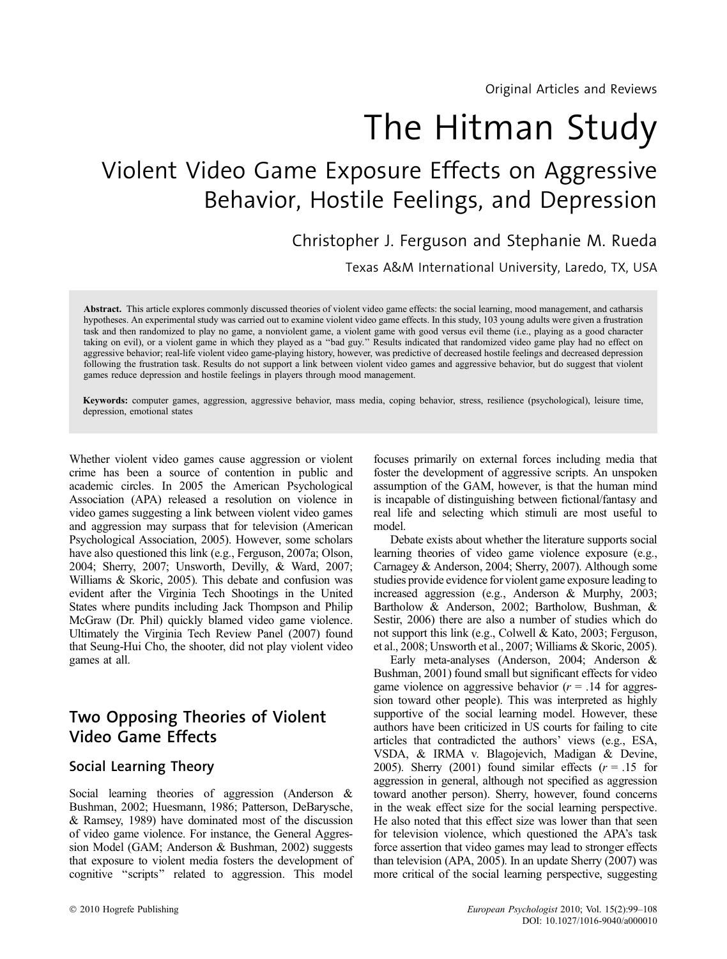# The Hitman Study

## Violent Video Game Exposure Effects on Aggressive Behavior, Hostile Feelings, and Depression

## Christopher J. Ferguson and Stephanie M. Rueda

Texas A&M International University, Laredo, TX, USA

Abstract. This article explores commonly discussed theories of violent video game effects: the social learning, mood management, and catharsis hypotheses. An experimental study was carried out to examine violent video game effects. In this study, 103 young adults were given a frustration task and then randomized to play no game, a nonviolent game, a violent game with good versus evil theme (i.e., playing as a good character taking on evil), or a violent game in which they played as a ''bad guy.'' Results indicated that randomized video game play had no effect on aggressive behavior; real-life violent video game-playing history, however, was predictive of decreased hostile feelings and decreased depression following the frustration task. Results do not support a link between violent video games and aggressive behavior, but do suggest that violent games reduce depression and hostile feelings in players through mood management.

Keywords: computer games, aggression, aggressive behavior, mass media, coping behavior, stress, resilience (psychological), leisure time, depression, emotional states

Whether violent video games cause aggression or violent crime has been a source of contention in public and academic circles. In 2005 the American Psychological Association (APA) released a resolution on violence in video games suggesting a link between violent video games and aggression may surpass that for television (American Psychological Association, 2005). However, some scholars have also questioned this link (e.g., Ferguson, 2007a; Olson, 2004; Sherry, 2007; Unsworth, Devilly, & Ward, 2007; Williams & Skoric, 2005). This debate and confusion was evident after the Virginia Tech Shootings in the United States where pundits including Jack Thompson and Philip McGraw (Dr. Phil) quickly blamed video game violence. Ultimately the Virginia Tech Review Panel (2007) found that Seung-Hui Cho, the shooter, did not play violent video games at all.

## Two Opposing Theories of Violent Video Game Effects

#### Social Learning Theory

Social learning theories of aggression (Anderson & Bushman, 2002; Huesmann, 1986; Patterson, DeBarysche, & Ramsey, 1989) have dominated most of the discussion of video game violence. For instance, the General Aggression Model (GAM; Anderson & Bushman, 2002) suggests that exposure to violent media fosters the development of cognitive ''scripts'' related to aggression. This model

focuses primarily on external forces including media that foster the development of aggressive scripts. An unspoken assumption of the GAM, however, is that the human mind is incapable of distinguishing between fictional/fantasy and real life and selecting which stimuli are most useful to model.

Debate exists about whether the literature supports social learning theories of video game violence exposure (e.g., Carnagey & Anderson, 2004; Sherry, 2007). Although some studies provide evidence for violent game exposure leading to increased aggression (e.g., Anderson & Murphy, 2003; Bartholow & Anderson, 2002; Bartholow, Bushman, & Sestir, 2006) there are also a number of studies which do not support this link (e.g., Colwell & Kato, 2003; Ferguson, et al., 2008; Unsworth et al., 2007; Williams & Skoric, 2005).

Early meta-analyses (Anderson, 2004; Anderson & Bushman, 2001) found small but significant effects for video game violence on aggressive behavior  $(r = .14)$  for aggression toward other people). This was interpreted as highly supportive of the social learning model. However, these authors have been criticized in US courts for failing to cite articles that contradicted the authors' views (e.g., ESA, VSDA, & IRMA v. Blagojevich, Madigan & Devine, 2005). Sherry (2001) found similar effects  $(r = .15)$  for aggression in general, although not specified as aggression toward another person). Sherry, however, found concerns in the weak effect size for the social learning perspective. He also noted that this effect size was lower than that seen for television violence, which questioned the APA's task force assertion that video games may lead to stronger effects than television (APA, 2005). In an update Sherry (2007) was more critical of the social learning perspective, suggesting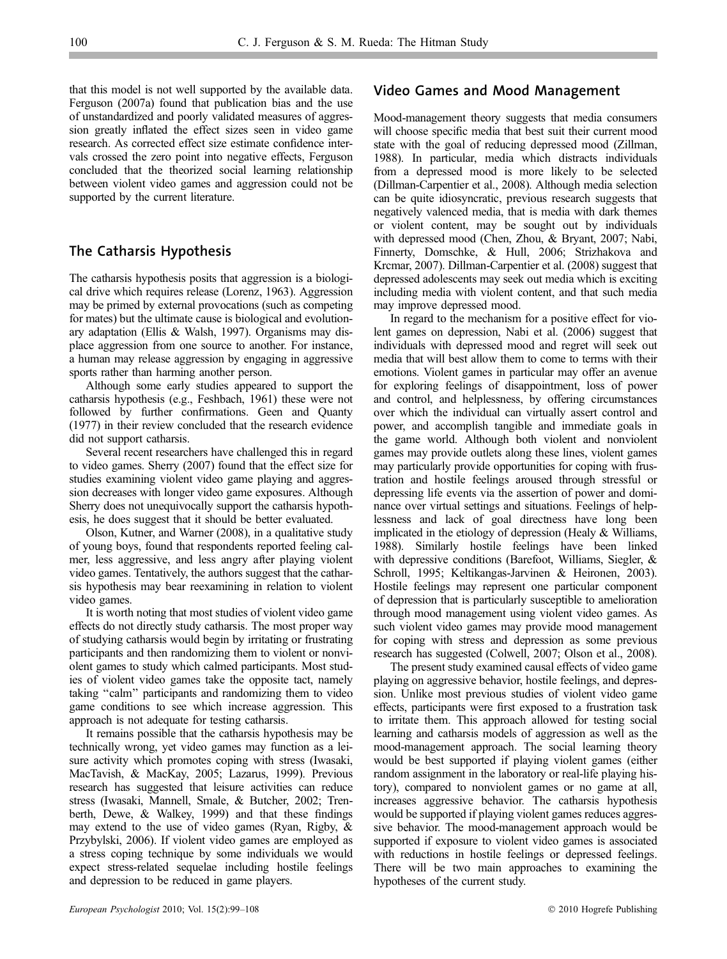that this model is not well supported by the available data. Ferguson (2007a) found that publication bias and the use of unstandardized and poorly validated measures of aggression greatly inflated the effect sizes seen in video game research. As corrected effect size estimate confidence intervals crossed the zero point into negative effects, Ferguson concluded that the theorized social learning relationship between violent video games and aggression could not be supported by the current literature.

#### The Catharsis Hypothesis

The catharsis hypothesis posits that aggression is a biological drive which requires release (Lorenz, 1963). Aggression may be primed by external provocations (such as competing for mates) but the ultimate cause is biological and evolutionary adaptation (Ellis & Walsh, 1997). Organisms may displace aggression from one source to another. For instance, a human may release aggression by engaging in aggressive sports rather than harming another person.

Although some early studies appeared to support the catharsis hypothesis (e.g., Feshbach, 1961) these were not followed by further confirmations. Geen and Quanty (1977) in their review concluded that the research evidence did not support catharsis.

Several recent researchers have challenged this in regard to video games. Sherry (2007) found that the effect size for studies examining violent video game playing and aggression decreases with longer video game exposures. Although Sherry does not unequivocally support the catharsis hypothesis, he does suggest that it should be better evaluated.

Olson, Kutner, and Warner (2008), in a qualitative study of young boys, found that respondents reported feeling calmer, less aggressive, and less angry after playing violent video games. Tentatively, the authors suggest that the catharsis hypothesis may bear reexamining in relation to violent video games.

It is worth noting that most studies of violent video game effects do not directly study catharsis. The most proper way of studying catharsis would begin by irritating or frustrating participants and then randomizing them to violent or nonviolent games to study which calmed participants. Most studies of violent video games take the opposite tact, namely taking ''calm'' participants and randomizing them to video game conditions to see which increase aggression. This approach is not adequate for testing catharsis.

It remains possible that the catharsis hypothesis may be technically wrong, yet video games may function as a leisure activity which promotes coping with stress (Iwasaki, MacTavish, & MacKay, 2005; Lazarus, 1999). Previous research has suggested that leisure activities can reduce stress (Iwasaki, Mannell, Smale, & Butcher, 2002; Trenberth, Dewe, & Walkey, 1999) and that these findings may extend to the use of video games (Ryan, Rigby, & Przybylski, 2006). If violent video games are employed as a stress coping technique by some individuals we would expect stress-related sequelae including hostile feelings and depression to be reduced in game players.

#### Video Games and Mood Management

Mood-management theory suggests that media consumers will choose specific media that best suit their current mood state with the goal of reducing depressed mood (Zillman, 1988). In particular, media which distracts individuals from a depressed mood is more likely to be selected (Dillman-Carpentier et al., 2008). Although media selection can be quite idiosyncratic, previous research suggests that negatively valenced media, that is media with dark themes or violent content, may be sought out by individuals with depressed mood (Chen, Zhou, & Bryant, 2007; Nabi, Finnerty, Domschke, & Hull, 2006; Strizhakova and Krcmar, 2007). Dillman-Carpentier et al. (2008) suggest that depressed adolescents may seek out media which is exciting including media with violent content, and that such media may improve depressed mood.

In regard to the mechanism for a positive effect for violent games on depression, Nabi et al. (2006) suggest that individuals with depressed mood and regret will seek out media that will best allow them to come to terms with their emotions. Violent games in particular may offer an avenue for exploring feelings of disappointment, loss of power and control, and helplessness, by offering circumstances over which the individual can virtually assert control and power, and accomplish tangible and immediate goals in the game world. Although both violent and nonviolent games may provide outlets along these lines, violent games may particularly provide opportunities for coping with frustration and hostile feelings aroused through stressful or depressing life events via the assertion of power and dominance over virtual settings and situations. Feelings of helplessness and lack of goal directness have long been implicated in the etiology of depression (Healy & Williams, 1988). Similarly hostile feelings have been linked with depressive conditions (Barefoot, Williams, Siegler, & Schroll, 1995; Keltikangas-Jarvinen & Heironen, 2003). Hostile feelings may represent one particular component of depression that is particularly susceptible to amelioration through mood management using violent video games. As such violent video games may provide mood management for coping with stress and depression as some previous research has suggested (Colwell, 2007; Olson et al., 2008).

The present study examined causal effects of video game playing on aggressive behavior, hostile feelings, and depression. Unlike most previous studies of violent video game effects, participants were first exposed to a frustration task to irritate them. This approach allowed for testing social learning and catharsis models of aggression as well as the mood-management approach. The social learning theory would be best supported if playing violent games (either random assignment in the laboratory or real-life playing history), compared to nonviolent games or no game at all, increases aggressive behavior. The catharsis hypothesis would be supported if playing violent games reduces aggressive behavior. The mood-management approach would be supported if exposure to violent video games is associated with reductions in hostile feelings or depressed feelings. There will be two main approaches to examining the hypotheses of the current study.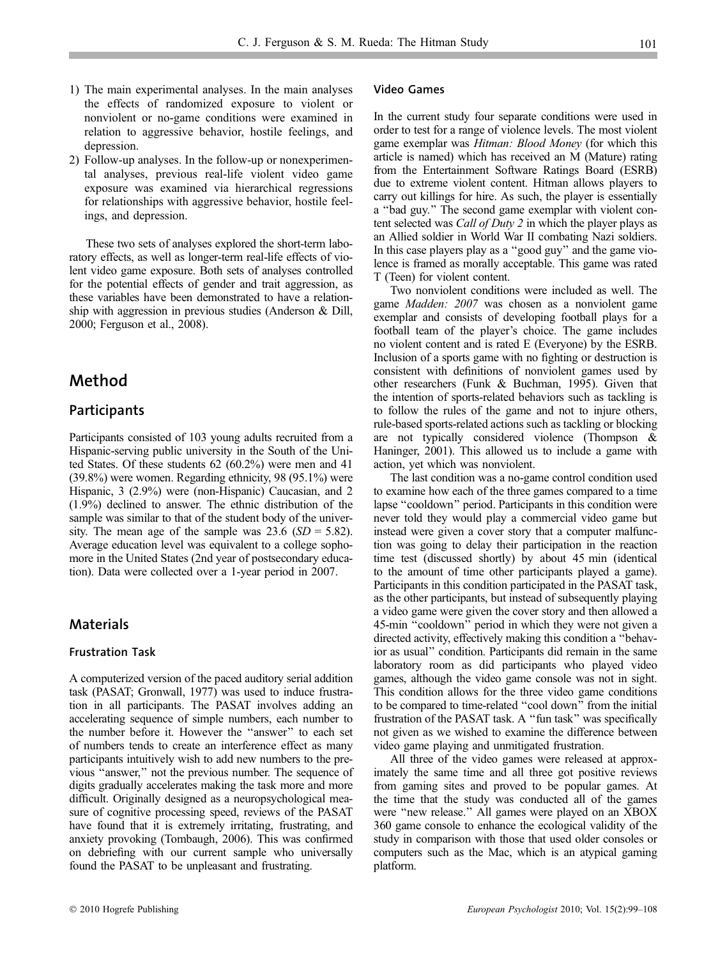- 1) The main experimental analyses. In the main analyses the effects of randomized exposure to violent or nonviolent or no-game conditions were examined in relation to aggressive behavior, hostile feelings, and depression.
- 2) Follow-up analyses. In the follow-up or nonexperimental analyses, previous real-life violent video game exposure was examined via hierarchical regressions for relationships with aggressive behavior, hostile feelings, and depression.

These two sets of analyses explored the short-term laboratory effects, as well as longer-term real-life effects of violent video game exposure. Both sets of analyses controlled for the potential effects of gender and trait aggression, as these variables have been demonstrated to have a relationship with aggression in previous studies (Anderson & Dill, 2000; Ferguson et al., 2008).

## Method

#### Participants

Participants consisted of 103 young adults recruited from a Hispanic-serving public university in the South of the United States. Of these students 62 (60.2%) were men and 41 (39.8%) were women. Regarding ethnicity, 98 (95.1%) were Hispanic, 3 (2.9%) were (non-Hispanic) Caucasian, and 2 (1.9%) declined to answer. The ethnic distribution of the sample was similar to that of the student body of the university. The mean age of the sample was 23.6  $(SD = 5.82)$ . Average education level was equivalent to a college sophomore in the United States (2nd year of postsecondary education). Data were collected over a 1-year period in 2007.

#### **Materials**

#### Frustration Task

A computerized version of the paced auditory serial addition task (PASAT; Gronwall, 1977) was used to induce frustration in all participants. The PASAT involves adding an accelerating sequence of simple numbers, each number to the number before it. However the ''answer'' to each set of numbers tends to create an interference effect as many participants intuitively wish to add new numbers to the previous ''answer,'' not the previous number. The sequence of digits gradually accelerates making the task more and more difficult. Originally designed as a neuropsychological measure of cognitive processing speed, reviews of the PASAT have found that it is extremely irritating, frustrating, and anxiety provoking (Tombaugh, 2006). This was confirmed on debriefing with our current sample who universally found the PASAT to be unpleasant and frustrating.

#### Video Games

In the current study four separate conditions were used in order to test for a range of violence levels. The most violent game exemplar was Hitman: Blood Money (for which this article is named) which has received an M (Mature) rating from the Entertainment Software Ratings Board (ESRB) due to extreme violent content. Hitman allows players to carry out killings for hire. As such, the player is essentially a ''bad guy.'' The second game exemplar with violent content selected was *Call of Duty 2* in which the player plays as an Allied soldier in World War II combating Nazi soldiers. In this case players play as a ''good guy'' and the game violence is framed as morally acceptable. This game was rated T (Teen) for violent content.

Two nonviolent conditions were included as well. The game Madden: 2007 was chosen as a nonviolent game exemplar and consists of developing football plays for a football team of the player's choice. The game includes no violent content and is rated E (Everyone) by the ESRB. Inclusion of a sports game with no fighting or destruction is consistent with definitions of nonviolent games used by other researchers (Funk & Buchman, 1995). Given that the intention of sports-related behaviors such as tackling is to follow the rules of the game and not to injure others, rule-based sports-related actions such as tackling or blocking are not typically considered violence (Thompson & Haninger, 2001). This allowed us to include a game with action, yet which was nonviolent.

The last condition was a no-game control condition used to examine how each of the three games compared to a time lapse ''cooldown'' period. Participants in this condition were never told they would play a commercial video game but instead were given a cover story that a computer malfunction was going to delay their participation in the reaction time test (discussed shortly) by about 45 min (identical to the amount of time other participants played a game). Participants in this condition participated in the PASAT task, as the other participants, but instead of subsequently playing a video game were given the cover story and then allowed a 45-min ''cooldown'' period in which they were not given a directed activity, effectively making this condition a ''behavior as usual'' condition. Participants did remain in the same laboratory room as did participants who played video games, although the video game console was not in sight. This condition allows for the three video game conditions to be compared to time-related ''cool down'' from the initial frustration of the PASAT task. A ''fun task'' was specifically not given as we wished to examine the difference between video game playing and unmitigated frustration.

All three of the video games were released at approximately the same time and all three got positive reviews from gaming sites and proved to be popular games. At the time that the study was conducted all of the games were "new release." All games were played on an XBOX 360 game console to enhance the ecological validity of the study in comparison with those that used older consoles or computers such as the Mac, which is an atypical gaming platform.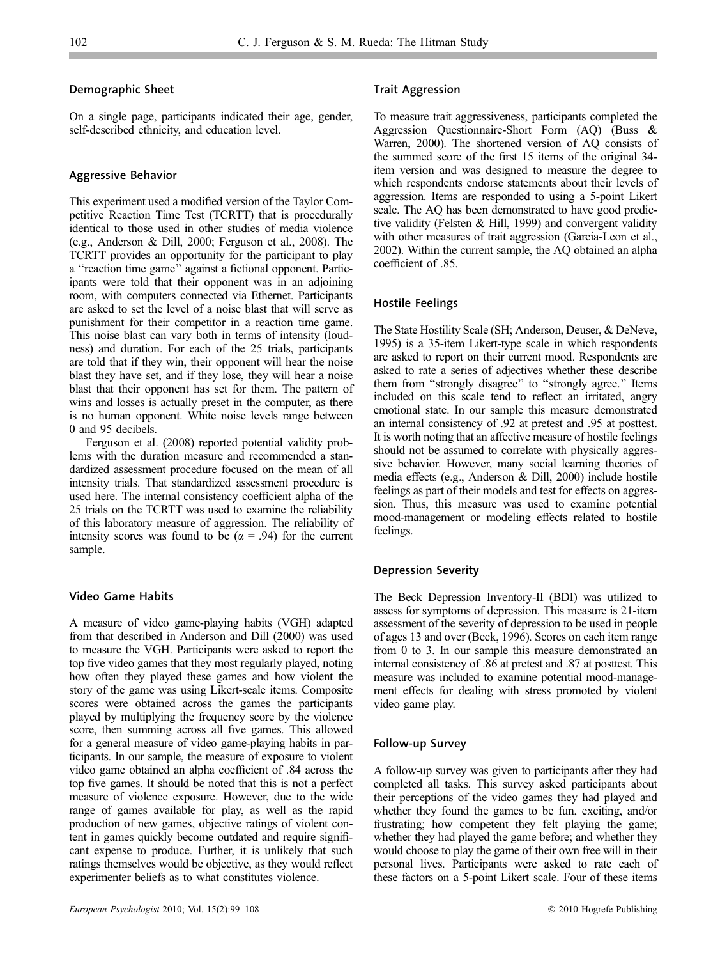#### Demographic Sheet

On a single page, participants indicated their age, gender, self-described ethnicity, and education level.

#### Aggressive Behavior

This experiment used a modified version of the Taylor Competitive Reaction Time Test (TCRTT) that is procedurally identical to those used in other studies of media violence (e.g., Anderson & Dill, 2000; Ferguson et al., 2008). The TCRTT provides an opportunity for the participant to play a ''reaction time game'' against a fictional opponent. Participants were told that their opponent was in an adjoining room, with computers connected via Ethernet. Participants are asked to set the level of a noise blast that will serve as punishment for their competitor in a reaction time game. This noise blast can vary both in terms of intensity (loudness) and duration. For each of the 25 trials, participants are told that if they win, their opponent will hear the noise blast they have set, and if they lose, they will hear a noise blast that their opponent has set for them. The pattern of wins and losses is actually preset in the computer, as there is no human opponent. White noise levels range between 0 and 95 decibels.

Ferguson et al. (2008) reported potential validity problems with the duration measure and recommended a standardized assessment procedure focused on the mean of all intensity trials. That standardized assessment procedure is used here. The internal consistency coefficient alpha of the 25 trials on the TCRTT was used to examine the reliability of this laboratory measure of aggression. The reliability of intensity scores was found to be  $(\alpha = .94)$  for the current sample.

#### Video Game Habits

A measure of video game-playing habits (VGH) adapted from that described in Anderson and Dill (2000) was used to measure the VGH. Participants were asked to report the top five video games that they most regularly played, noting how often they played these games and how violent the story of the game was using Likert-scale items. Composite scores were obtained across the games the participants played by multiplying the frequency score by the violence score, then summing across all five games. This allowed for a general measure of video game-playing habits in participants. In our sample, the measure of exposure to violent video game obtained an alpha coefficient of .84 across the top five games. It should be noted that this is not a perfect measure of violence exposure. However, due to the wide range of games available for play, as well as the rapid production of new games, objective ratings of violent content in games quickly become outdated and require significant expense to produce. Further, it is unlikely that such ratings themselves would be objective, as they would reflect experimenter beliefs as to what constitutes violence.

#### Trait Aggression

To measure trait aggressiveness, participants completed the Aggression Questionnaire-Short Form (AQ) (Buss & Warren, 2000). The shortened version of AQ consists of the summed score of the first 15 items of the original 34 item version and was designed to measure the degree to which respondents endorse statements about their levels of aggression. Items are responded to using a 5-point Likert scale. The AQ has been demonstrated to have good predictive validity (Felsten & Hill, 1999) and convergent validity with other measures of trait aggression (Garcia-Leon et al., 2002). Within the current sample, the AQ obtained an alpha coefficient of .85.

#### Hostile Feelings

The State Hostility Scale (SH; Anderson, Deuser, & DeNeve, 1995) is a 35-item Likert-type scale in which respondents are asked to report on their current mood. Respondents are asked to rate a series of adjectives whether these describe them from ''strongly disagree'' to ''strongly agree.'' Items included on this scale tend to reflect an irritated, angry emotional state. In our sample this measure demonstrated an internal consistency of .92 at pretest and .95 at posttest. It is worth noting that an affective measure of hostile feelings should not be assumed to correlate with physically aggressive behavior. However, many social learning theories of media effects (e.g., Anderson & Dill, 2000) include hostile feelings as part of their models and test for effects on aggression. Thus, this measure was used to examine potential mood-management or modeling effects related to hostile feelings.

#### Depression Severity

The Beck Depression Inventory-II (BDI) was utilized to assess for symptoms of depression. This measure is 21-item assessment of the severity of depression to be used in people of ages 13 and over (Beck, 1996). Scores on each item range from 0 to 3. In our sample this measure demonstrated an internal consistency of .86 at pretest and .87 at posttest. This measure was included to examine potential mood-management effects for dealing with stress promoted by violent video game play.

#### Follow-up Survey

A follow-up survey was given to participants after they had completed all tasks. This survey asked participants about their perceptions of the video games they had played and whether they found the games to be fun, exciting, and/or frustrating; how competent they felt playing the game; whether they had played the game before; and whether they would choose to play the game of their own free will in their personal lives. Participants were asked to rate each of these factors on a 5-point Likert scale. Four of these items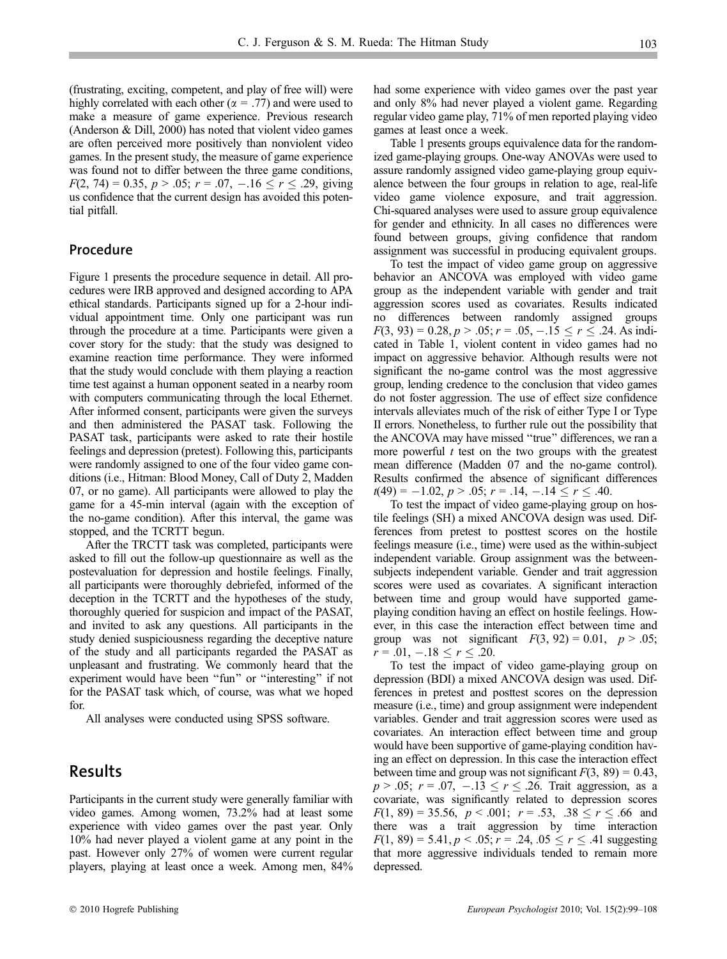(frustrating, exciting, competent, and play of free will) were highly correlated with each other ( $\alpha = .77$ ) and were used to make a measure of game experience. Previous research (Anderson & Dill, 2000) has noted that violent video games are often perceived more positively than nonviolent video games. In the present study, the measure of game experience was found not to differ between the three game conditions,  $F(2, 74) = 0.35, p > .05; r = .07, -.16 \le r \le .29,$  giving us confidence that the current design has avoided this potential pitfall.

#### Procedure

Figure 1 presents the procedure sequence in detail. All procedures were IRB approved and designed according to APA ethical standards. Participants signed up for a 2-hour individual appointment time. Only one participant was run through the procedure at a time. Participants were given a cover story for the study: that the study was designed to examine reaction time performance. They were informed that the study would conclude with them playing a reaction time test against a human opponent seated in a nearby room with computers communicating through the local Ethernet. After informed consent, participants were given the surveys and then administered the PASAT task. Following the PASAT task, participants were asked to rate their hostile feelings and depression (pretest). Following this, participants were randomly assigned to one of the four video game conditions (i.e., Hitman: Blood Money, Call of Duty 2, Madden 07, or no game). All participants were allowed to play the game for a 45-min interval (again with the exception of the no-game condition). After this interval, the game was stopped, and the TCRTT begun.

After the TRCTT task was completed, participants were asked to fill out the follow-up questionnaire as well as the postevaluation for depression and hostile feelings. Finally, all participants were thoroughly debriefed, informed of the deception in the TCRTT and the hypotheses of the study, thoroughly queried for suspicion and impact of the PASAT, and invited to ask any questions. All participants in the study denied suspiciousness regarding the deceptive nature of the study and all participants regarded the PASAT as unpleasant and frustrating. We commonly heard that the experiment would have been "fun" or "interesting" if not for the PASAT task which, of course, was what we hoped for.

All analyses were conducted using SPSS software.

## Results

Participants in the current study were generally familiar with video games. Among women, 73.2% had at least some experience with video games over the past year. Only 10% had never played a violent game at any point in the past. However only 27% of women were current regular players, playing at least once a week. Among men, 84%

had some experience with video games over the past year and only 8% had never played a violent game. Regarding regular video game play, 71% of men reported playing video games at least once a week.

Table 1 presents groups equivalence data for the randomized game-playing groups. One-way ANOVAs were used to assure randomly assigned video game-playing group equivalence between the four groups in relation to age, real-life video game violence exposure, and trait aggression. Chi-squared analyses were used to assure group equivalence for gender and ethnicity. In all cases no differences were found between groups, giving confidence that random assignment was successful in producing equivalent groups.

To test the impact of video game group on aggressive behavior an ANCOVA was employed with video game group as the independent variable with gender and trait aggression scores used as covariates. Results indicated no differences between randomly assigned groups  $F(3, 93) = 0.28, p > .05; r = .05, -.15 \le r \le .24$ . As indicated in Table 1, violent content in video games had no impact on aggressive behavior. Although results were not significant the no-game control was the most aggressive group, lending credence to the conclusion that video games do not foster aggression. The use of effect size confidence intervals alleviates much of the risk of either Type I or Type II errors. Nonetheless, to further rule out the possibility that the ANCOVA may have missed ''true'' differences, we ran a more powerful  $t$  test on the two groups with the greatest mean difference (Madden 07 and the no-game control). Results confirmed the absence of significant differences  $t(49) = -1.02, p > .05; r = .14, -.14 \le r \le .40.$ 

To test the impact of video game-playing group on hostile feelings (SH) a mixed ANCOVA design was used. Differences from pretest to posttest scores on the hostile feelings measure (i.e., time) were used as the within-subject independent variable. Group assignment was the betweensubjects independent variable. Gender and trait aggression scores were used as covariates. A significant interaction between time and group would have supported gameplaying condition having an effect on hostile feelings. However, in this case the interaction effect between time and group was not significant  $F(3, 92) = 0.01$ ,  $p > .05$ ;  $r = .01, -.18 \le r \le .20.$ 

To test the impact of video game-playing group on depression (BDI) a mixed ANCOVA design was used. Differences in pretest and posttest scores on the depression measure (i.e., time) and group assignment were independent variables. Gender and trait aggression scores were used as covariates. An interaction effect between time and group would have been supportive of game-playing condition having an effect on depression. In this case the interaction effect between time and group was not significant  $F(3, 89) = 0.43$ ,  $p > .05$ ;  $r = .07, -.13 \le r \le .26$ . Trait aggression, as a covariate, was significantly related to depression scores  $F(1, 89) = 35.56, p < .001; r = .53, .38 \le r \le .66$  and there was a trait aggression by time interaction  $F(1, 89) = 5.41, p < .05; r = .24, .05 \le r \le .41$  suggesting that more aggressive individuals tended to remain more depressed.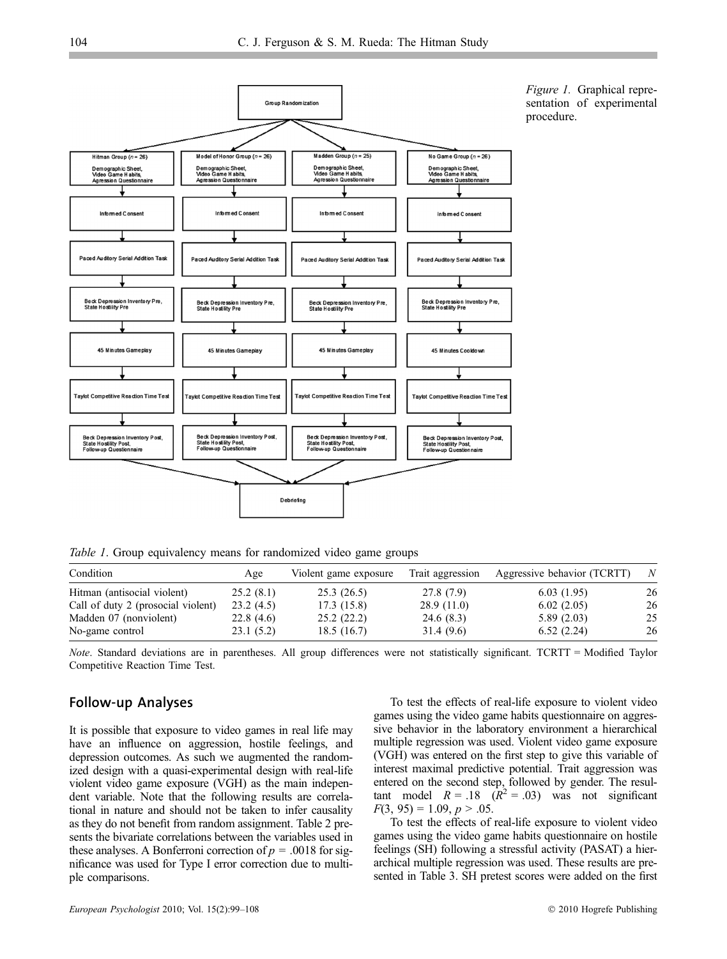

Table 1. Group equivalency means for randomized video game groups

| Condition                          | Age       | Violent game exposure | Trait aggression | Aggressive behavior (TCRTT) | N  |
|------------------------------------|-----------|-----------------------|------------------|-----------------------------|----|
| Hitman (antisocial violent)        | 25.2(8.1) | 25.3(26.5)            | 27.8 (7.9)       | 6.03(1.95)                  | 26 |
| Call of duty 2 (prosocial violent) | 23.2(4.5) | 17.3(15.8)            | 28.9(11.0)       | 6.02(2.05)                  | 26 |
| Madden 07 (nonviolent)             | 22.8(4.6) | 25.2(22.2)            | 24.6(8.3)        | 5.89(2.03)                  | 25 |
| No-game control                    | 23.1(5.2) | 18.5(16.7)            | 31.4 (9.6)       | 6.52(2.24)                  | 26 |

Note. Standard deviations are in parentheses. All group differences were not statistically significant. TCRTT = Modified Taylor Competitive Reaction Time Test.

#### Follow-up Analyses

It is possible that exposure to video games in real life may have an influence on aggression, hostile feelings, and depression outcomes. As such we augmented the randomized design with a quasi-experimental design with real-life violent video game exposure (VGH) as the main independent variable. Note that the following results are correlational in nature and should not be taken to infer causality as they do not benefit from random assignment. Table 2 presents the bivariate correlations between the variables used in these analyses. A Bonferroni correction of  $p = .0018$  for significance was used for Type I error correction due to multiple comparisons.

To test the effects of real-life exposure to violent video games using the video game habits questionnaire on aggressive behavior in the laboratory environment a hierarchical multiple regression was used. Violent video game exposure (VGH) was entered on the first step to give this variable of interest maximal predictive potential. Trait aggression was entered on the second step, followed by gender. The resultant model  $R = .18$   $(R^2 = .03)$  was not significant  $F(3, 95) = 1.09, p > .05.$ 

To test the effects of real-life exposure to violent video games using the video game habits questionnaire on hostile feelings (SH) following a stressful activity (PASAT) a hierarchical multiple regression was used. These results are presented in Table 3. SH pretest scores were added on the first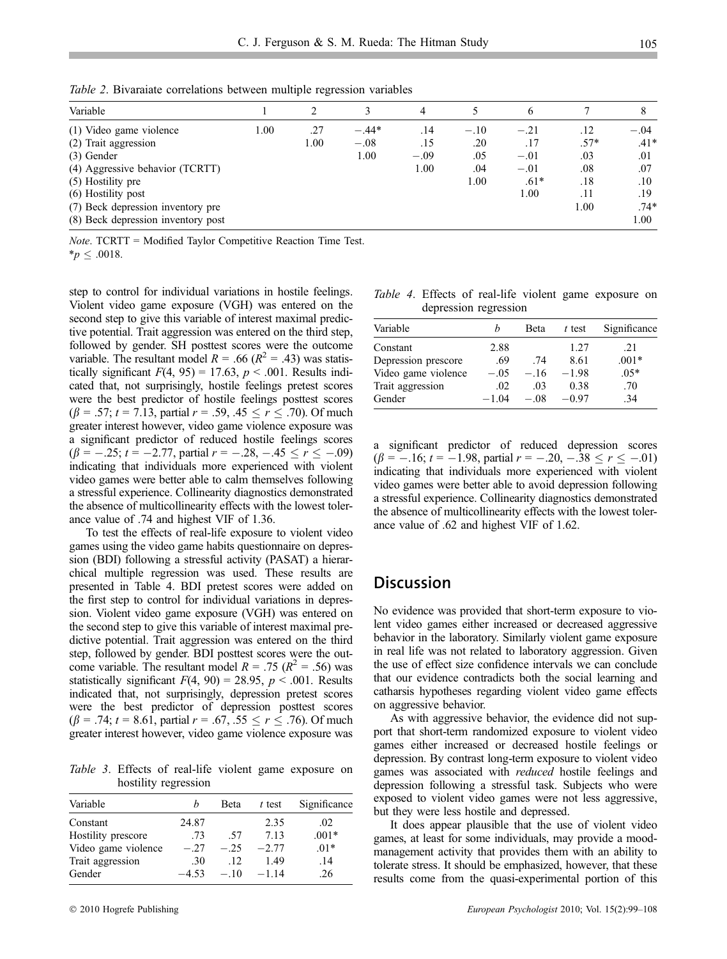Table 2. Bivaraiate correlations between multiple regression variables

| Variable                                                                |      | C           |                   | 4          |               | <sub>0</sub>     |               |                  |
|-------------------------------------------------------------------------|------|-------------|-------------------|------------|---------------|------------------|---------------|------------------|
| (1) Video game violence<br>(2) Trait aggression                         | 1.00 | .27<br>1.00 | $-.44*$<br>$-.08$ | .14<br>.15 | $-.10$<br>.20 | $-.21$<br>.17    | .12<br>$.57*$ | $-.04$<br>$.41*$ |
| $(3)$ Gender                                                            |      |             | 1.00              | $-.09$     | .05           | $-.01$           | .03           | .01              |
| (4) Aggressive behavior (TCRTT)<br>(5) Hostility pre                    |      |             |                   | 1.00       | .04<br>1.00   | $-.01$<br>$.61*$ | .08<br>.18    | .07<br>.10       |
| (6) Hostility post                                                      |      |             |                   |            |               | 00.1             | .11           | .19              |
| (7) Beck depression inventory pre<br>(8) Beck depression inventory post |      |             |                   |            |               |                  | 1.00          | $.74*$<br>1.00   |

Note. TCRTT = Modified Taylor Competitive Reaction Time Test.  $*_{p} \leq .0018.$ 

step to control for individual variations in hostile feelings. Violent video game exposure (VGH) was entered on the second step to give this variable of interest maximal predictive potential. Trait aggression was entered on the third step, followed by gender. SH posttest scores were the outcome variable. The resultant model  $R = .66$  ( $R^2 = .43$ ) was statistically significant  $F(4, 95) = 17.63$ ,  $p < .001$ . Results indicated that, not surprisingly, hostile feelings pretest scores were the best predictor of hostile feelings posttest scores  $(\beta = .57; t = 7.13,$  partial  $r = .59, .45 \le r \le .70$ ). Of much greater interest however, video game violence exposure was a significant predictor of reduced hostile feelings scores  $(\beta = -.25; t = -2.77, \text{ partial } r = -.28, -.45 \le r \le -.09)$ indicating that individuals more experienced with violent video games were better able to calm themselves following a stressful experience. Collinearity diagnostics demonstrated the absence of multicollinearity effects with the lowest tolerance value of .74 and highest VIF of 1.36.

To test the effects of real-life exposure to violent video games using the video game habits questionnaire on depression (BDI) following a stressful activity (PASAT) a hierarchical multiple regression was used. These results are presented in Table 4. BDI pretest scores were added on the first step to control for individual variations in depression. Violent video game exposure (VGH) was entered on the second step to give this variable of interest maximal predictive potential. Trait aggression was entered on the third step, followed by gender. BDI posttest scores were the outcome variable. The resultant model  $R = .75$  ( $R^2 = .56$ ) was statistically significant  $F(4, 90) = 28.95$ ,  $p < .001$ . Results indicated that, not surprisingly, depression pretest scores were the best predictor of depression posttest scores  $(\beta = .74; t = 8.61,$  partial  $r = .67, .55 \le r \le .76$ ). Of much greater interest however, video game violence exposure was

Table 3. Effects of real-life violent game exposure on hostility regression

| Variable            |         | Beta   | t test  | Significance |
|---------------------|---------|--------|---------|--------------|
| Constant            | 24.87   |        | 2.35    | .02          |
| Hostility prescore  | .73     | -57    | 7.13    | $.001*$      |
| Video game violence | $-.27$  | $-.25$ | $-2.77$ | $.01*$       |
| Trait aggression    | .30     | .12.   | 1.49    | .14          |
| Gender              | $-4.53$ | $-.10$ | $-1.14$ | .26          |

Table 4. Effects of real-life violent game exposure on depression regression

| Variable            |         | Beta   | t test  | Significance |
|---------------------|---------|--------|---------|--------------|
| Constant            | 2.88    |        | 1.27    | .21          |
| Depression prescore | .69     | .74    | 8.61    | $.001*$      |
| Video game violence | $-.05$  | $-.16$ | $-1.98$ | $.05*$       |
| Trait aggression    | .02     | .03    | 0.38    | .70          |
| Gender              | $-1.04$ | $-.08$ | $-0.97$ | .34          |

a significant predictor of reduced depression scores  $(\beta = -.16; t = -1.98,$  partial  $r = -.20, -.38 \le r \le -.01)$ indicating that individuals more experienced with violent video games were better able to avoid depression following a stressful experience. Collinearity diagnostics demonstrated the absence of multicollinearity effects with the lowest tolerance value of .62 and highest VIF of 1.62.

## **Discussion**

No evidence was provided that short-term exposure to violent video games either increased or decreased aggressive behavior in the laboratory. Similarly violent game exposure in real life was not related to laboratory aggression. Given the use of effect size confidence intervals we can conclude that our evidence contradicts both the social learning and catharsis hypotheses regarding violent video game effects on aggressive behavior.

As with aggressive behavior, the evidence did not support that short-term randomized exposure to violent video games either increased or decreased hostile feelings or depression. By contrast long-term exposure to violent video games was associated with reduced hostile feelings and depression following a stressful task. Subjects who were exposed to violent video games were not less aggressive, but they were less hostile and depressed.

It does appear plausible that the use of violent video games, at least for some individuals, may provide a moodmanagement activity that provides them with an ability to tolerate stress. It should be emphasized, however, that these results come from the quasi-experimental portion of this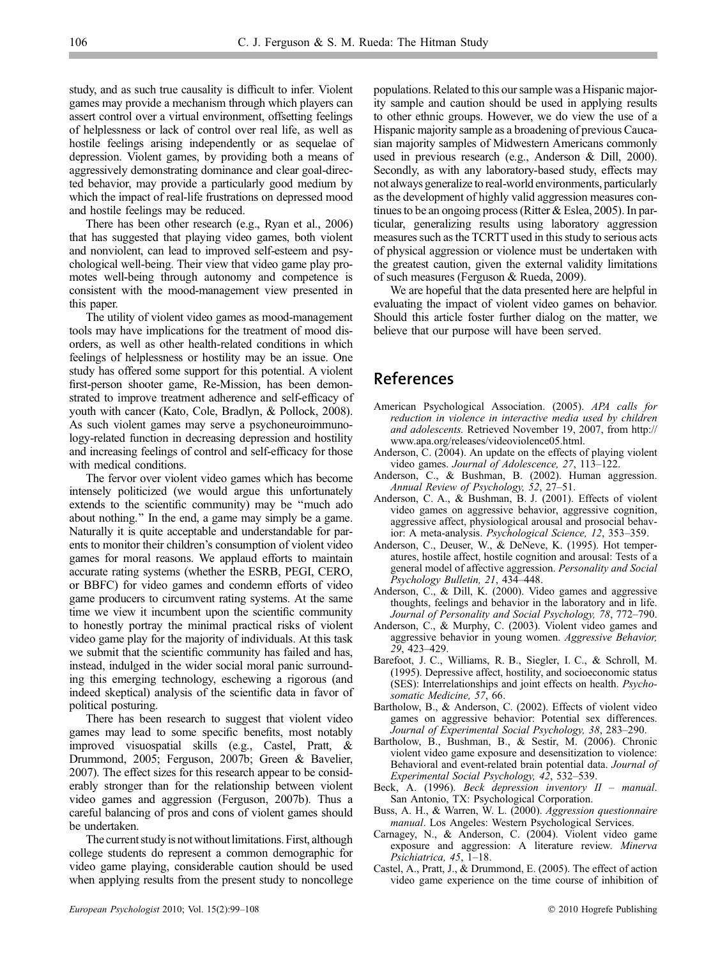study, and as such true causality is difficult to infer. Violent games may provide a mechanism through which players can assert control over a virtual environment, offsetting feelings of helplessness or lack of control over real life, as well as hostile feelings arising independently or as sequelae of depression. Violent games, by providing both a means of aggressively demonstrating dominance and clear goal-directed behavior, may provide a particularly good medium by which the impact of real-life frustrations on depressed mood and hostile feelings may be reduced.

There has been other research (e.g., Ryan et al., 2006) that has suggested that playing video games, both violent and nonviolent, can lead to improved self-esteem and psychological well-being. Their view that video game play promotes well-being through autonomy and competence is consistent with the mood-management view presented in this paper.

The utility of violent video games as mood-management tools may have implications for the treatment of mood disorders, as well as other health-related conditions in which feelings of helplessness or hostility may be an issue. One study has offered some support for this potential. A violent first-person shooter game, Re-Mission, has been demonstrated to improve treatment adherence and self-efficacy of youth with cancer (Kato, Cole, Bradlyn, & Pollock, 2008). As such violent games may serve a psychoneuroimmunology-related function in decreasing depression and hostility and increasing feelings of control and self-efficacy for those with medical conditions.

The fervor over violent video games which has become intensely politicized (we would argue this unfortunately extends to the scientific community) may be ''much ado about nothing.'' In the end, a game may simply be a game. Naturally it is quite acceptable and understandable for parents to monitor their children's consumption of violent video games for moral reasons. We applaud efforts to maintain accurate rating systems (whether the ESRB, PEGI, CERO, or BBFC) for video games and condemn efforts of video game producers to circumvent rating systems. At the same time we view it incumbent upon the scientific community to honestly portray the minimal practical risks of violent video game play for the majority of individuals. At this task we submit that the scientific community has failed and has, instead, indulged in the wider social moral panic surrounding this emerging technology, eschewing a rigorous (and indeed skeptical) analysis of the scientific data in favor of political posturing.

There has been research to suggest that violent video games may lead to some specific benefits, most notably improved visuospatial skills (e.g., Castel, Pratt, & Drummond, 2005; Ferguson, 2007b; Green & Bavelier, 2007). The effect sizes for this research appear to be considerably stronger than for the relationship between violent video games and aggression (Ferguson, 2007b). Thus a careful balancing of pros and cons of violent games should be undertaken.

The current study is not without limitations. First, although college students do represent a common demographic for video game playing, considerable caution should be used when applying results from the present study to noncollege populations. Related to this our sample was a Hispanic majority sample and caution should be used in applying results to other ethnic groups. However, we do view the use of a Hispanic majority sample as a broadening of previous Caucasian majority samples of Midwestern Americans commonly used in previous research (e.g., Anderson & Dill, 2000). Secondly, as with any laboratory-based study, effects may not always generalize to real-world environments, particularly as the development of highly valid aggression measures continues to be an ongoing process (Ritter & Eslea, 2005). In particular, generalizing results using laboratory aggression measures such as the TCRTT used in this study to serious acts of physical aggression or violence must be undertaken with the greatest caution, given the external validity limitations of such measures (Ferguson & Rueda, 2009).

We are hopeful that the data presented here are helpful in evaluating the impact of violent video games on behavior. Should this article foster further dialog on the matter, we believe that our purpose will have been served.

### References

- American Psychological Association. (2005). APA calls for reduction in violence in interactive media used by children and adolescents. Retrieved November 19, 2007, from http:// www.apa.org/releases/videoviolence05.html.
- Anderson, C. (2004). An update on the effects of playing violent video games. Journal of Adolescence, 27, 113–122.
- Anderson, C., & Bushman, B. (2002). Human aggression. Annual Review of Psychology, 52, 27–51.
- Anderson, C. A., & Bushman, B. J. (2001). Effects of violent video games on aggressive behavior, aggressive cognition, aggressive affect, physiological arousal and prosocial behavior: A meta-analysis. Psychological Science, 12, 353–359.
- Anderson, C., Deuser, W., & DeNeve, K. (1995). Hot temperatures, hostile affect, hostile cognition and arousal: Tests of a general model of affective aggression. Personality and Social Psychology Bulletin, 21, 434–448.
- Anderson, C., & Dill, K. (2000). Video games and aggressive thoughts, feelings and behavior in the laboratory and in life. Journal of Personality and Social Psychology, 78, 772–790.
- Anderson, C., & Murphy, C. (2003). Violent video games and aggressive behavior in young women. Aggressive Behavior, 29, 423–429.
- Barefoot, J. C., Williams, R. B., Siegler, I. C., & Schroll, M. (1995). Depressive affect, hostility, and socioeconomic status (SES): Interrelationships and joint effects on health. Psychosomatic Medicine, 57, 66.
- Bartholow, B., & Anderson, C. (2002). Effects of violent video games on aggressive behavior: Potential sex differences. Journal of Experimental Social Psychology, 38, 283–290.
- Bartholow, B., Bushman, B., & Sestir, M. (2006). Chronic violent video game exposure and desensitization to violence: Behavioral and event-related brain potential data. Journal of Experimental Social Psychology, 42, 532–539.
- Beck, A. (1996). Beck depression inventory II manual. San Antonio, TX: Psychological Corporation.
- Buss, A. H., & Warren, W. L. (2000). Aggression questionnaire manual. Los Angeles: Western Psychological Services.
- Carnagey, N., & Anderson, C. (2004). Violent video game exposure and aggression: A literature review. Minerva Psichiatrica, 45, 1–18.
- Castel, A., Pratt, J., & Drummond, E. (2005). The effect of action video game experience on the time course of inhibition of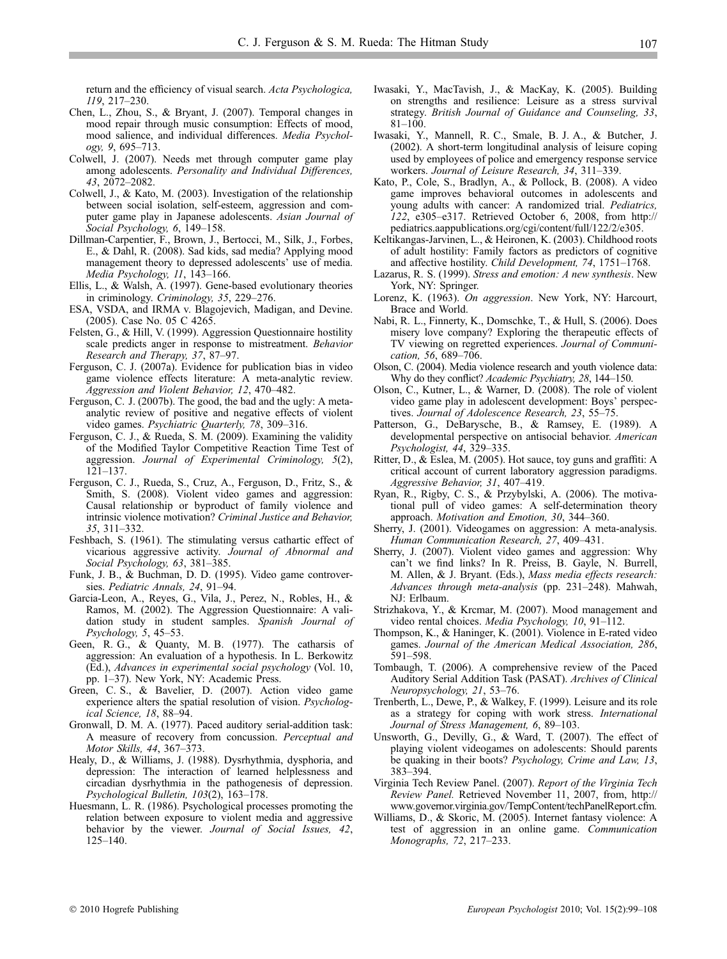return and the efficiency of visual search. Acta Psychologica, 119, 217–230.

- Chen, L., Zhou, S., & Bryant, J. (2007). Temporal changes in mood repair through music consumption: Effects of mood, mood salience, and individual differences. Media Psychology, 9, 695–713.
- Colwell, J. (2007). Needs met through computer game play among adolescents. Personality and Individual Differences, 43, 2072–2082.
- Colwell, J., & Kato, M. (2003). Investigation of the relationship between social isolation, self-esteem, aggression and computer game play in Japanese adolescents. Asian Journal of Social Psychology, 6, 149–158.
- Dillman-Carpentier, F., Brown, J., Bertocci, M., Silk, J., Forbes, E., & Dahl, R. (2008). Sad kids, sad media? Applying mood management theory to depressed adolescents' use of media. Media Psychology, 11, 143–166.
- Ellis, L., & Walsh, A. (1997). Gene-based evolutionary theories in criminology. Criminology, 35, 229–276.
- ESA, VSDA, and IRMA v. Blagojevich, Madigan, and Devine. (2005). Case No. 05 C 4265.
- Felsten, G., & Hill, V. (1999). Aggression Questionnaire hostility scale predicts anger in response to mistreatment. Behavior Research and Therapy, 37, 87–97.
- Ferguson, C. J. (2007a). Evidence for publication bias in video game violence effects literature: A meta-analytic review. Aggression and Violent Behavior, 12, 470–482.
- Ferguson, C. J. (2007b). The good, the bad and the ugly: A metaanalytic review of positive and negative effects of violent video games. Psychiatric Quarterly, 78, 309–316.
- Ferguson, C. J., & Rueda, S. M. (2009). Examining the validity of the Modified Taylor Competitive Reaction Time Test of aggression. Journal of Experimental Criminology, 5(2), 121–137.
- Ferguson, C. J., Rueda, S., Cruz, A., Ferguson, D., Fritz, S., & Smith, S. (2008). Violent video games and aggression: Causal relationship or byproduct of family violence and intrinsic violence motivation? Criminal Justice and Behavior, 35, 311–332.
- Feshbach, S. (1961). The stimulating versus cathartic effect of vicarious aggressive activity. Journal of Abnormal and Social Psychology, 63, 381–385.
- Funk, J. B., & Buchman, D. D. (1995). Video game controversies. Pediatric Annals, 24, 91–94.
- Garcia-Leon, A., Reyes, G., Vila, J., Perez, N., Robles, H., & Ramos, M. (2002). The Aggression Questionnaire: A validation study in student samples. Spanish Journal of Psychology, 5, 45–53.
- Geen, R. G., & Quanty, M. B. (1977). The catharsis of aggression: An evaluation of a hypothesis. In L. Berkowitz (Ed.), Advances in experimental social psychology (Vol. 10, pp. 1–37). New York, NY: Academic Press.
- Green, C. S., & Bavelier, D. (2007). Action video game experience alters the spatial resolution of vision. Psychological Science, 18, 88–94.
- Gronwall, D. M. A. (1977). Paced auditory serial-addition task: A measure of recovery from concussion. Perceptual and Motor Skills, 44, 367–373.
- Healy, D., & Williams, J. (1988). Dysrhythmia, dysphoria, and depression: The interaction of learned helplessness and circadian dysrhythmia in the pathogenesis of depression. Psychological Bulletin, 103(2), 163–178.
- Huesmann, L. R. (1986). Psychological processes promoting the relation between exposure to violent media and aggressive behavior by the viewer. Journal of Social Issues, 42, 125–140.
- Iwasaki, Y., MacTavish, J., & MacKay, K. (2005). Building on strengths and resilience: Leisure as a stress survival strategy. British Journal of Guidance and Counseling, 33, 81–100.
- Iwasaki, Y., Mannell, R. C., Smale, B. J. A., & Butcher, J. (2002). A short-term longitudinal analysis of leisure coping used by employees of police and emergency response service workers. Journal of Leisure Research, 34, 311–339.
- Kato, P., Cole, S., Bradlyn, A., & Pollock, B. (2008). A video game improves behavioral outcomes in adolescents and young adults with cancer: A randomized trial. Pediatrics, 122, e305–e317. Retrieved October 6, 2008, from http:// pediatrics.aappublications.org/cgi/content/full/122/2/e305.
- Keltikangas-Jarvinen, L., & Heironen, K. (2003). Childhood roots of adult hostility: Family factors as predictors of cognitive and affective hostility. Child Development, 74, 1751–1768.
- Lazarus, R. S. (1999). Stress and emotion: A new synthesis. New York, NY: Springer.
- Lorenz, K. (1963). On aggression. New York, NY: Harcourt, Brace and World.
- Nabi, R. L., Finnerty, K., Domschke, T., & Hull, S. (2006). Does misery love company? Exploring the therapeutic effects of TV viewing on regretted experiences. Journal of Communication, 56, 689–706.
- Olson, C. (2004). Media violence research and youth violence data: Why do they conflict? *Academic Psychiatry, 28*, 144–150.
- Olson, C., Kutner, L., & Warner, D. (2008). The role of violent video game play in adolescent development: Boys' perspectives. Journal of Adolescence Research, 23, 55–75.
- Patterson, G., DeBarysche, B., & Ramsey, E. (1989). A developmental perspective on antisocial behavior. American Psychologist, 44, 329–335.
- Ritter, D., & Eslea, M. (2005). Hot sauce, toy guns and graffiti: A critical account of current laboratory aggression paradigms. Aggressive Behavior, 31, 407–419.
- Ryan, R., Rigby, C. S., & Przybylski, A. (2006). The motivational pull of video games: A self-determination theory approach. Motivation and Emotion, 30, 344–360.
- Sherry, J. (2001). Videogames on aggression: A meta-analysis. Human Communication Research, 27, 409–431.
- Sherry, J. (2007). Violent video games and aggression: Why can't we find links? In R. Preiss, B. Gayle, N. Burrell, M. Allen, & J. Bryant. (Eds.), Mass media effects research: Advances through meta-analysis (pp. 231–248). Mahwah, NJ: Erlbaum.
- Strizhakova, Y., & Krcmar, M. (2007). Mood management and video rental choices. Media Psychology, 10, 91-112.
- Thompson, K., & Haninger, K. (2001). Violence in E-rated video games. Journal of the American Medical Association, 286, 591–598.
- Tombaugh, T. (2006). A comprehensive review of the Paced Auditory Serial Addition Task (PASAT). Archives of Clinical Neuropsychology, 21, 53–76.
- Trenberth, L., Dewe, P., & Walkey, F. (1999). Leisure and its role as a strategy for coping with work stress. International Journal of Stress Management, 6, 89–103.
- Unsworth, G., Devilly, G., & Ward, T. (2007). The effect of playing violent videogames on adolescents: Should parents be quaking in their boots? Psychology, Crime and Law, 13, 383–394.
- Virginia Tech Review Panel. (2007). Report of the Virginia Tech Review Panel. Retrieved November 11, 2007, from, http:// www.governor.virginia.gov/TempContent/techPanelReport.cfm.
- Williams, D., & Skoric, M. (2005). Internet fantasy violence: A test of aggression in an online game. Communication Monographs, 72, 217–233.